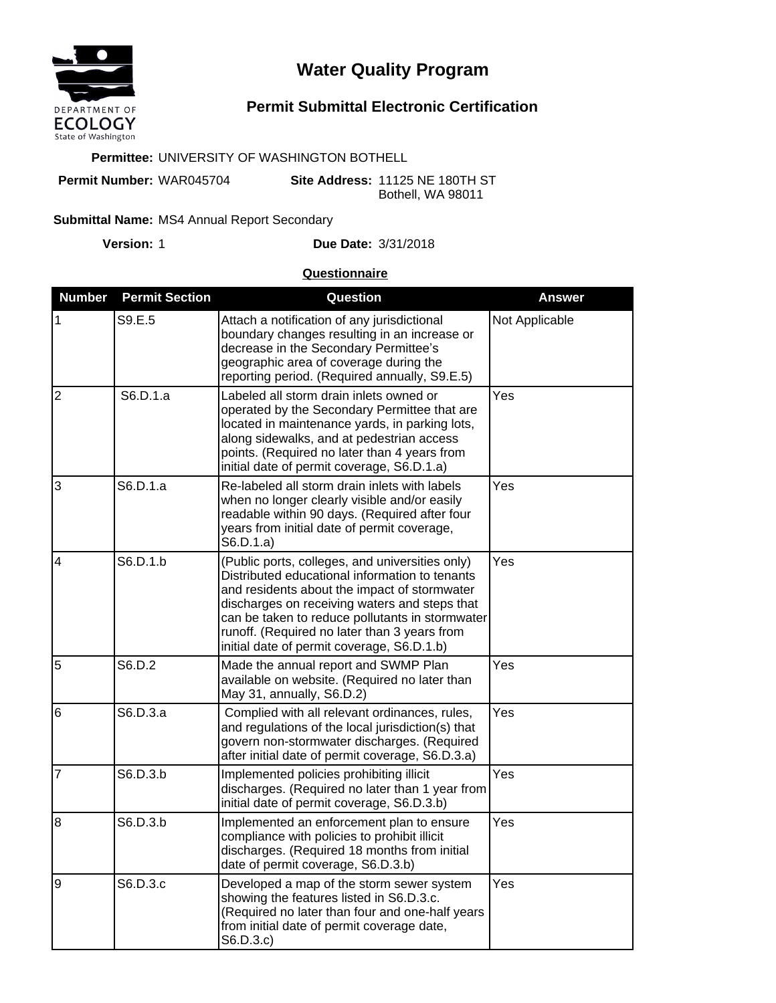

# **Water Quality Program**

# **Permit Submittal Electronic Certification**

#### **Permittee:** UNIVERSITY OF WASHINGTON BOTHELL

**Permit Number:** WAR045704

**Site Address:** 11125 NE 180TH ST Bothell, WA 98011

#### Submittal Name: MS4 Annual Report Secondary

**Version:**

## 1 **Due Date:** 3/31/2018

## **Questionnaire**

| <b>Number</b>  | <b>Permit Section</b> | Question                                                                                                                                                                                                                                                                                                                                            | <b>Answer</b>  |
|----------------|-----------------------|-----------------------------------------------------------------------------------------------------------------------------------------------------------------------------------------------------------------------------------------------------------------------------------------------------------------------------------------------------|----------------|
| 1              | S9.E.5                | Attach a notification of any jurisdictional<br>boundary changes resulting in an increase or<br>decrease in the Secondary Permittee's<br>geographic area of coverage during the<br>reporting period. (Required annually, S9.E.5)                                                                                                                     | Not Applicable |
| $\overline{2}$ | S6.D.1.a              | Labeled all storm drain inlets owned or<br>operated by the Secondary Permittee that are<br>located in maintenance yards, in parking lots,<br>along sidewalks, and at pedestrian access<br>points. (Required no later than 4 years from<br>initial date of permit coverage, S6.D.1.a)                                                                | Yes            |
| 3              | S6.D.1.a              | Re-labeled all storm drain inlets with labels<br>when no longer clearly visible and/or easily<br>readable within 90 days. (Required after four<br>years from initial date of permit coverage,<br>S6.D.1.a)                                                                                                                                          | Yes            |
| $\overline{4}$ | S6.D.1.b              | (Public ports, colleges, and universities only)<br>Distributed educational information to tenants<br>and residents about the impact of stormwater<br>discharges on receiving waters and steps that<br>can be taken to reduce pollutants in stormwater<br>runoff. (Required no later than 3 years from<br>initial date of permit coverage, S6.D.1.b) | Yes            |
| 5              | S6.D.2                | Made the annual report and SWMP Plan<br>available on website. (Required no later than<br>May 31, annually, S6.D.2)                                                                                                                                                                                                                                  | Yes            |
| 6              | S6.D.3.a              | Complied with all relevant ordinances, rules,<br>and regulations of the local jurisdiction(s) that<br>govern non-stormwater discharges. (Required<br>after initial date of permit coverage, S6.D.3.a)                                                                                                                                               | Yes            |
| $\overline{7}$ | S6.D.3.b              | Implemented policies prohibiting illicit<br>discharges. (Required no later than 1 year from<br>initial date of permit coverage, S6.D.3.b)                                                                                                                                                                                                           | Yes            |
| $\overline{8}$ | S6.D.3.b              | Implemented an enforcement plan to ensure<br>compliance with policies to prohibit illicit<br>discharges. (Required 18 months from initial<br>date of permit coverage, S6.D.3.b)                                                                                                                                                                     | Yes            |
| $\overline{9}$ | S6.D.3.c              | Developed a map of the storm sewer system<br>showing the features listed in S6.D.3.c.<br>(Required no later than four and one-half years<br>from initial date of permit coverage date,<br>S6.D.3.c)                                                                                                                                                 | Yes            |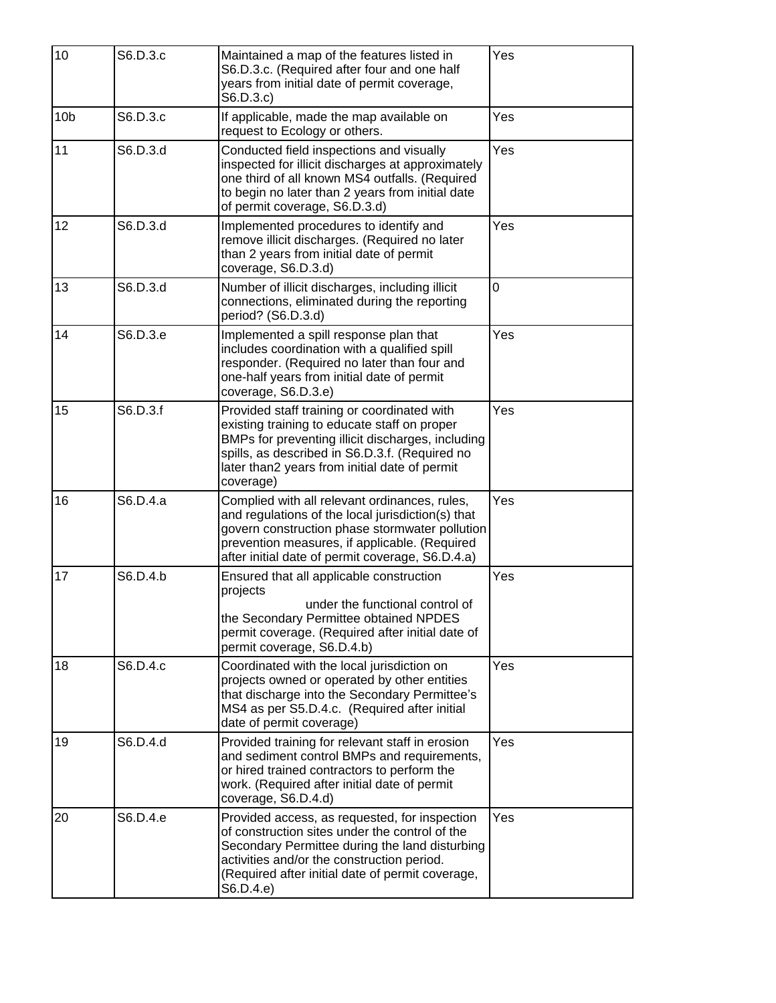| 10              | S6.D.3.c | Maintained a map of the features listed in<br>S6.D.3.c. (Required after four and one half<br>years from initial date of permit coverage,<br>S6.D.3.c)                                                                                                            | Yes |
|-----------------|----------|------------------------------------------------------------------------------------------------------------------------------------------------------------------------------------------------------------------------------------------------------------------|-----|
| 10 <sub>b</sub> | S6.D.3.c | If applicable, made the map available on<br>request to Ecology or others.                                                                                                                                                                                        | Yes |
| 11              | S6.D.3.d | Conducted field inspections and visually<br>inspected for illicit discharges at approximately<br>one third of all known MS4 outfalls. (Required<br>to begin no later than 2 years from initial date<br>of permit coverage, S6.D.3.d)                             | Yes |
| 12              | S6.D.3.d | Implemented procedures to identify and<br>remove illicit discharges. (Required no later<br>than 2 years from initial date of permit<br>coverage, S6.D.3.d)                                                                                                       | Yes |
| 13              | S6.D.3.d | Number of illicit discharges, including illicit<br>connections, eliminated during the reporting<br>period? (S6.D.3.d)                                                                                                                                            | 0   |
| 14              | S6.D.3.e | Implemented a spill response plan that<br>includes coordination with a qualified spill<br>responder. (Required no later than four and<br>one-half years from initial date of permit<br>coverage, S6.D.3.e)                                                       | Yes |
| 15              | S6.D.3.f | Provided staff training or coordinated with<br>existing training to educate staff on proper<br>BMPs for preventing illicit discharges, including<br>spills, as described in S6.D.3.f. (Required no<br>later than2 years from initial date of permit<br>coverage) | Yes |
| 16              | S6.D.4.a | Complied with all relevant ordinances, rules,<br>and regulations of the local jurisdiction(s) that<br>govern construction phase stormwater pollution<br>prevention measures, if applicable. (Required<br>after initial date of permit coverage, S6.D.4.a)        | Yes |
| 17              | S6.D.4.b | Ensured that all applicable construction<br>projects<br>under the functional control of<br>the Secondary Permittee obtained NPDES<br>permit coverage. (Required after initial date of<br>permit coverage, S6.D.4.b)                                              | Yes |
| 18              | S6.D.4.c | Coordinated with the local jurisdiction on<br>projects owned or operated by other entities<br>that discharge into the Secondary Permittee's<br>MS4 as per S5.D.4.c. (Required after initial<br>date of permit coverage)                                          | Yes |
| 19              | S6.D.4.d | Provided training for relevant staff in erosion<br>and sediment control BMPs and requirements,<br>or hired trained contractors to perform the<br>work. (Required after initial date of permit<br>coverage, S6.D.4.d)                                             | Yes |
| 20              | S6.D.4.e | Provided access, as requested, for inspection<br>of construction sites under the control of the<br>Secondary Permittee during the land disturbing<br>activities and/or the construction period.<br>(Required after initial date of permit coverage,<br>S6.D.4.e) | Yes |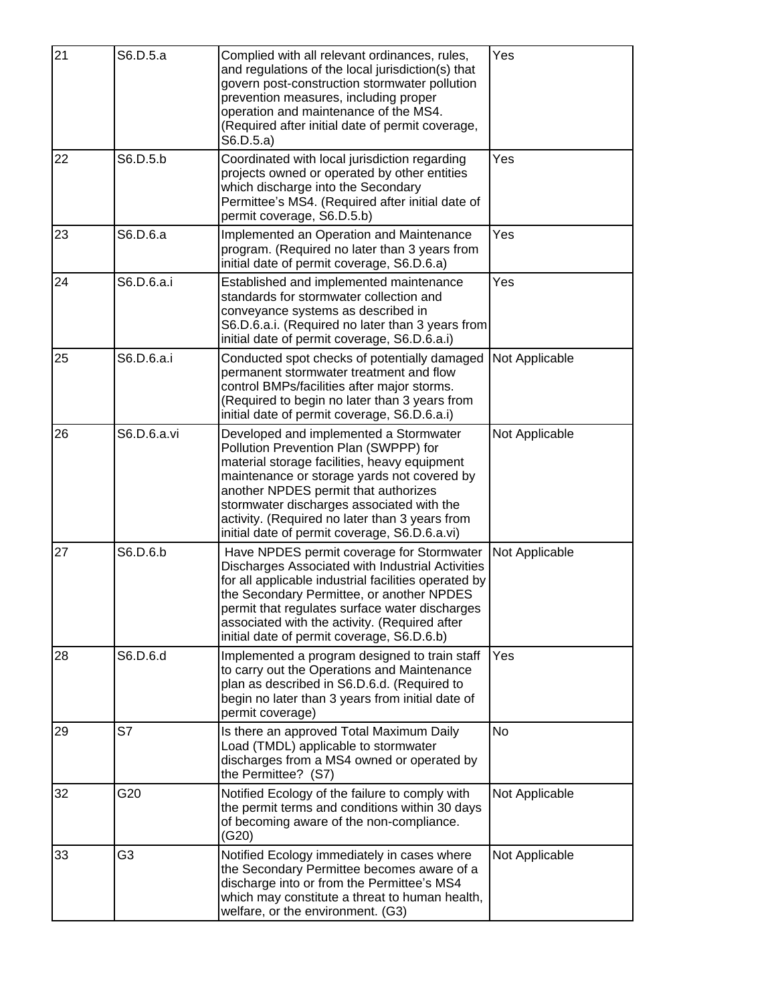| 21 | S6.D.5.a       | Complied with all relevant ordinances, rules,<br>and regulations of the local jurisdiction(s) that<br>govern post-construction stormwater pollution<br>prevention measures, including proper<br>operation and maintenance of the MS4.<br>(Required after initial date of permit coverage,<br>S6.D.5.a)                                                                 | Yes            |
|----|----------------|------------------------------------------------------------------------------------------------------------------------------------------------------------------------------------------------------------------------------------------------------------------------------------------------------------------------------------------------------------------------|----------------|
| 22 | S6.D.5.b       | Coordinated with local jurisdiction regarding<br>projects owned or operated by other entities<br>which discharge into the Secondary<br>Permittee's MS4. (Required after initial date of<br>permit coverage, S6.D.5.b)                                                                                                                                                  | Yes            |
| 23 | S6.D.6.a       | Implemented an Operation and Maintenance<br>program. (Required no later than 3 years from<br>initial date of permit coverage, S6.D.6.a)                                                                                                                                                                                                                                | Yes            |
| 24 | S6.D.6.a.i     | Established and implemented maintenance<br>standards for stormwater collection and<br>conveyance systems as described in<br>S6.D.6.a.i. (Required no later than 3 years from<br>initial date of permit coverage, S6.D.6.a.i)                                                                                                                                           | Yes            |
| 25 | S6.D.6.a.i     | Conducted spot checks of potentially damaged<br>permanent stormwater treatment and flow<br>control BMPs/facilities after major storms.<br>(Required to begin no later than 3 years from<br>initial date of permit coverage, S6.D.6.a.i)                                                                                                                                | Not Applicable |
| 26 | S6.D.6.a.vi    | Developed and implemented a Stormwater<br>Pollution Prevention Plan (SWPPP) for<br>material storage facilities, heavy equipment<br>maintenance or storage yards not covered by<br>another NPDES permit that authorizes<br>stormwater discharges associated with the<br>activity. (Required no later than 3 years from<br>initial date of permit coverage, S6.D.6.a.vi) | Not Applicable |
| 27 | S6.D.6.b       | Have NPDES permit coverage for Stormwater<br>Discharges Associated with Industrial Activities<br>for all applicable industrial facilities operated by<br>the Secondary Permittee, or another NPDES<br>permit that regulates surface water discharges<br>associated with the activity. (Required after<br>initial date of permit coverage, S6.D.6.b)                    | Not Applicable |
| 28 | S6.D.6.d       | Implemented a program designed to train staff<br>to carry out the Operations and Maintenance<br>plan as described in S6.D.6.d. (Required to<br>begin no later than 3 years from initial date of<br>permit coverage)                                                                                                                                                    | Yes            |
| 29 | S7             | Is there an approved Total Maximum Daily<br>Load (TMDL) applicable to stormwater<br>discharges from a MS4 owned or operated by<br>the Permittee? (S7)                                                                                                                                                                                                                  | <b>No</b>      |
| 32 | G20            | Notified Ecology of the failure to comply with<br>the permit terms and conditions within 30 days<br>of becoming aware of the non-compliance.<br>(G20)                                                                                                                                                                                                                  | Not Applicable |
| 33 | G <sub>3</sub> | Notified Ecology immediately in cases where<br>the Secondary Permittee becomes aware of a<br>discharge into or from the Permittee's MS4<br>which may constitute a threat to human health,<br>welfare, or the environment. (G3)                                                                                                                                         | Not Applicable |